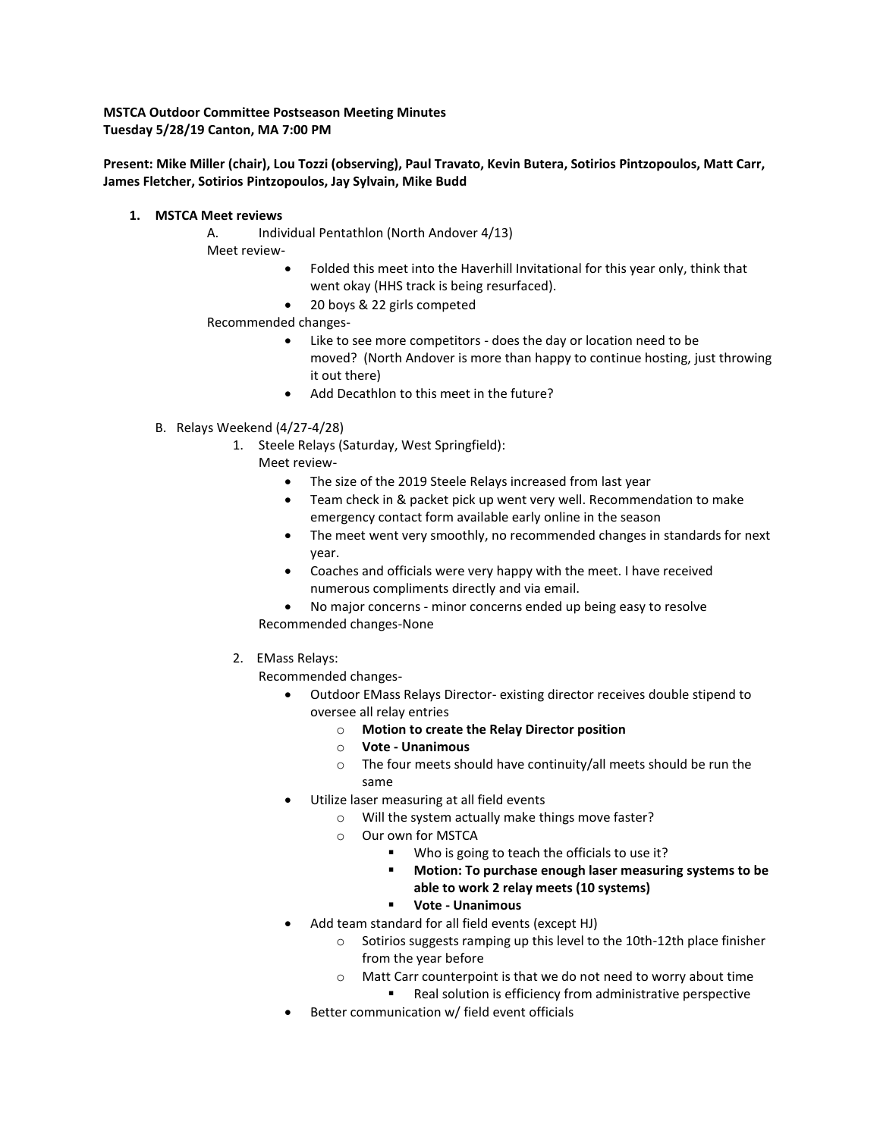**MSTCA Outdoor Committee Postseason Meeting Minutes Tuesday 5/28/19 Canton, MA 7:00 PM**

## **Present: Mike Miller (chair), Lou Tozzi (observing), Paul Travato, Kevin Butera, Sotirios Pintzopoulos, Matt Carr, James Fletcher, Sotirios Pintzopoulos, Jay Sylvain, Mike Budd**

### **1. MSTCA Meet reviews**

A. Individual Pentathlon (North Andover 4/13) Meet review-

- Folded this meet into the Haverhill Invitational for this year only, think that went okay (HHS track is being resurfaced).
- 20 boys & 22 girls competed

## Recommended changes-

- Like to see more competitors does the day or location need to be moved? (North Andover is more than happy to continue hosting, just throwing it out there)
- Add Decathlon to this meet in the future?
- B. Relays Weekend (4/27-4/28)
	- 1. Steele Relays (Saturday, West Springfield):
		- Meet review-
			- The size of the 2019 Steele Relays increased from last year
			- Team check in & packet pick up went very well. Recommendation to make emergency contact form available early online in the season
			- The meet went very smoothly, no recommended changes in standards for next year.
			- Coaches and officials were very happy with the meet. I have received numerous compliments directly and via email.
		- No major concerns minor concerns ended up being easy to resolve Recommended changes-None
	- 2. EMass Relays:

Recommended changes-

- Outdoor EMass Relays Director- existing director receives double stipend to oversee all relay entries
	- o **Motion to create the Relay Director position**
	- o **Vote - Unanimous**
	- o The four meets should have continuity/all meets should be run the same
- Utilize laser measuring at all field events
	- o Will the system actually make things move faster?
	- o Our own for MSTCA
		- Who is going to teach the officials to use it?
		- **Motion: To purchase enough laser measuring systems to be able to work 2 relay meets (10 systems)**

## **Vote - Unanimous**

- Add team standard for all field events (except HJ)
	- o Sotirios suggests ramping up this level to the 10th-12th place finisher from the year before
	- o Matt Carr counterpoint is that we do not need to worry about time Real solution is efficiency from administrative perspective
- Better communication w/ field event officials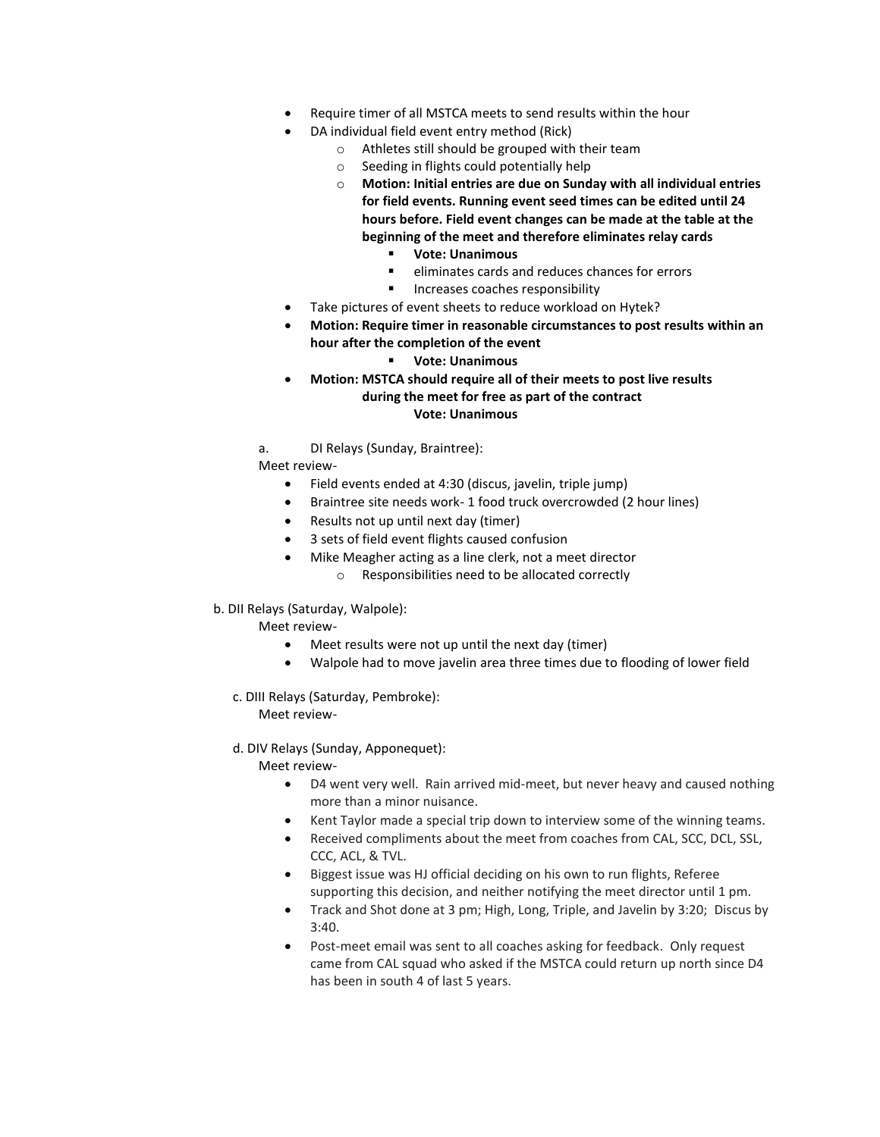- Require timer of all MSTCA meets to send results within the hour
- DA individual field event entry method (Rick)
	- o Athletes still should be grouped with their team
	- o Seeding in flights could potentially help
	- o **Motion: Initial entries are due on Sunday with all individual entries for field events. Running event seed times can be edited until 24 hours before. Field event changes can be made at the table at the beginning of the meet and therefore eliminates relay cards**
		- **Vote: Unanimous**
		- eliminates cards and reduces chances for errors
		- Increases coaches responsibility
- Take pictures of event sheets to reduce workload on Hytek?
- **Motion: Require timer in reasonable circumstances to post results within an hour after the completion of the event**
	- **Vote: Unanimous**
- **Motion: MSTCA should require all of their meets to post live results during the meet for free as part of the contract Vote: Unanimous**
- a. DI Relays (Sunday, Braintree):
- Meet review-
	- Field events ended at 4:30 (discus, javelin, triple jump)
	- Braintree site needs work- 1 food truck overcrowded (2 hour lines)
	- Results not up until next day (timer)
	- 3 sets of field event flights caused confusion
	- Mike Meagher acting as a line clerk, not a meet director
		- o Responsibilities need to be allocated correctly
- b. DII Relays (Saturday, Walpole):

Meet review-

- Meet results were not up until the next day (timer)
- Walpole had to move javelin area three times due to flooding of lower field
- c. DIII Relays (Saturday, Pembroke):

Meet review-

d. DIV Relays (Sunday, Apponequet):

Meet review-

- D4 went very well. Rain arrived mid-meet, but never heavy and caused nothing more than a minor nuisance.
- Kent Taylor made a special trip down to interview some of the winning teams.
- Received compliments about the meet from coaches from CAL, SCC, DCL, SSL, CCC, ACL, & TVL.
- Biggest issue was HJ official deciding on his own to run flights, Referee supporting this decision, and neither notifying the meet director until 1 pm.
- Track and Shot done at 3 pm; High, Long, Triple, and Javelin by 3:20; Discus by 3:40.
- Post-meet email was sent to all coaches asking for feedback. Only request came from CAL squad who asked if the MSTCA could return up north since D4 has been in south 4 of last 5 years.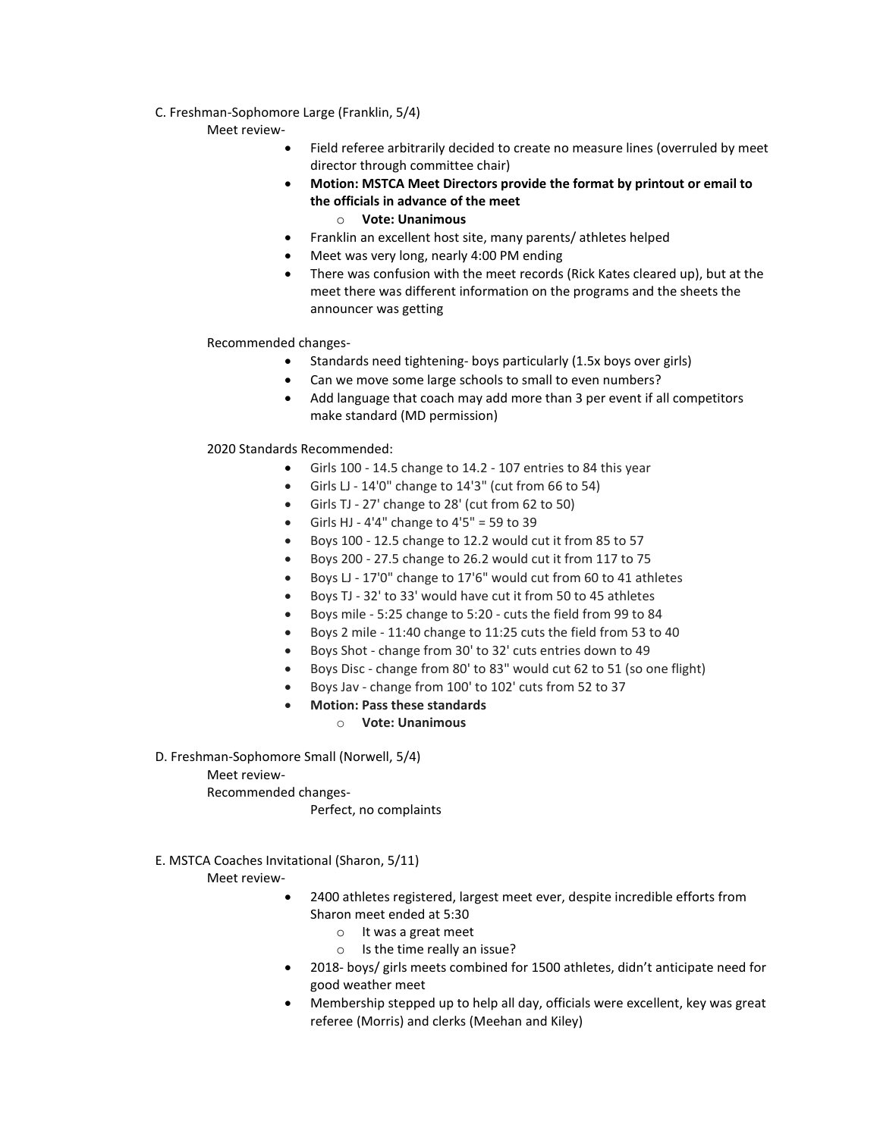## C. Freshman-Sophomore Large (Franklin, 5/4)

#### Meet review-

- Field referee arbitrarily decided to create no measure lines (overruled by meet director through committee chair)
- **Motion: MSTCA Meet Directors provide the format by printout or email to the officials in advance of the meet**
	- o **Vote: Unanimous**
- Franklin an excellent host site, many parents/ athletes helped
- Meet was very long, nearly 4:00 PM ending
- There was confusion with the meet records (Rick Kates cleared up), but at the meet there was different information on the programs and the sheets the announcer was getting

## Recommended changes-

- Standards need tightening- boys particularly (1.5x boys over girls)
- Can we move some large schools to small to even numbers?
- Add language that coach may add more than 3 per event if all competitors make standard (MD permission)

## 2020 Standards Recommended:

- Girls 100 14.5 change to 14.2 107 entries to 84 this year
	- Girls LJ 14'0" change to 14'3" (cut from 66 to 54)
	- Girls TJ 27' change to 28' (cut from 62 to 50)
	- Girls HJ 4'4" change to  $4'5'' = 59$  to 39
	- Boys 100 12.5 change to 12.2 would cut it from 85 to 57
	- Boys 200 27.5 change to 26.2 would cut it from 117 to 75
	- Boys LJ 17'0" change to 17'6" would cut from 60 to 41 athletes
	- Boys TJ 32' to 33' would have cut it from 50 to 45 athletes
	- Boys mile 5:25 change to 5:20 cuts the field from 99 to 84
	- Boys 2 mile 11:40 change to 11:25 cuts the field from 53 to 40
	- Boys Shot change from 30' to 32' cuts entries down to 49
	- Boys Disc change from 80' to 83" would cut 62 to 51 (so one flight)
	- Boys Jav change from 100' to 102' cuts from 52 to 37
	- **Motion: Pass these standards**

## o **Vote: Unanimous**

D. Freshman-Sophomore Small (Norwell, 5/4)

## Meet review-

Recommended changes-

#### Perfect, no complaints

## E. MSTCA Coaches Invitational (Sharon, 5/11)

Meet review-

- 2400 athletes registered, largest meet ever, despite incredible efforts from Sharon meet ended at 5:30
	- o It was a great meet
	- o Is the time really an issue?
- 2018- boys/ girls meets combined for 1500 athletes, didn't anticipate need for good weather meet
- Membership stepped up to help all day, officials were excellent, key was great referee (Morris) and clerks (Meehan and Kiley)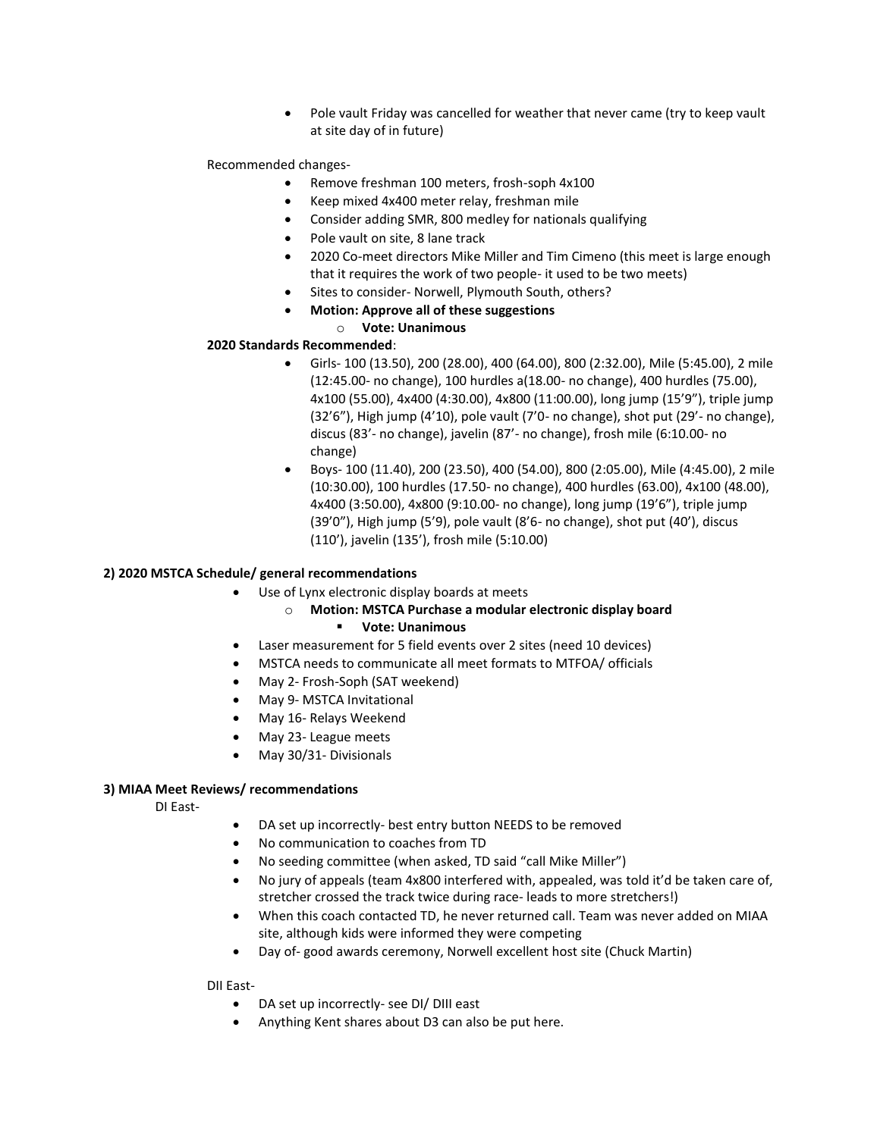Pole vault Friday was cancelled for weather that never came (try to keep vault at site day of in future)

### Recommended changes-

- Remove freshman 100 meters, frosh-soph 4x100
- Keep mixed 4x400 meter relay, freshman mile
- Consider adding SMR, 800 medley for nationals qualifying
- Pole vault on site, 8 lane track
- 2020 Co-meet directors Mike Miller and Tim Cimeno (this meet is large enough that it requires the work of two people- it used to be two meets)
- Sites to consider- Norwell, Plymouth South, others?
- **Motion: Approve all of these suggestions**

#### o **Vote: Unanimous**

#### **2020 Standards Recommended**:

- Girls- 100 (13.50), 200 (28.00), 400 (64.00), 800 (2:32.00), Mile (5:45.00), 2 mile (12:45.00- no change), 100 hurdles a(18.00- no change), 400 hurdles (75.00), 4x100 (55.00), 4x400 (4:30.00), 4x800 (11:00.00), long jump (15'9"), triple jump (32'6"), High jump (4'10), pole vault (7'0- no change), shot put (29'- no change), discus (83'- no change), javelin (87'- no change), frosh mile (6:10.00- no change)
- Boys- 100 (11.40), 200 (23.50), 400 (54.00), 800 (2:05.00), Mile (4:45.00), 2 mile (10:30.00), 100 hurdles (17.50- no change), 400 hurdles (63.00), 4x100 (48.00), 4x400 (3:50.00), 4x800 (9:10.00- no change), long jump (19'6"), triple jump (39'0"), High jump (5'9), pole vault (8'6- no change), shot put (40'), discus (110'), javelin (135'), frosh mile (5:10.00)

#### **2) 2020 MSTCA Schedule/ general recommendations**

- Use of Lynx electronic display boards at meets
	- o **Motion: MSTCA Purchase a modular electronic display board**

## **Vote: Unanimous**

- Laser measurement for 5 field events over 2 sites (need 10 devices)
- MSTCA needs to communicate all meet formats to MTFOA/ officials
- May 2- Frosh-Soph (SAT weekend)
- May 9- MSTCA Invitational
- May 16- Relays Weekend
- May 23- League meets
- May 30/31- Divisionals

## **3) MIAA Meet Reviews/ recommendations**

DI East-

- DA set up incorrectly- best entry button NEEDS to be removed
- No communication to coaches from TD
- No seeding committee (when asked, TD said "call Mike Miller")
- No jury of appeals (team 4x800 interfered with, appealed, was told it'd be taken care of, stretcher crossed the track twice during race- leads to more stretchers!)
- When this coach contacted TD, he never returned call. Team was never added on MIAA site, although kids were informed they were competing
- Day of- good awards ceremony, Norwell excellent host site (Chuck Martin)

DII East-

- DA set up incorrectly- see DI/ DIII east
- Anything Kent shares about D3 can also be put here.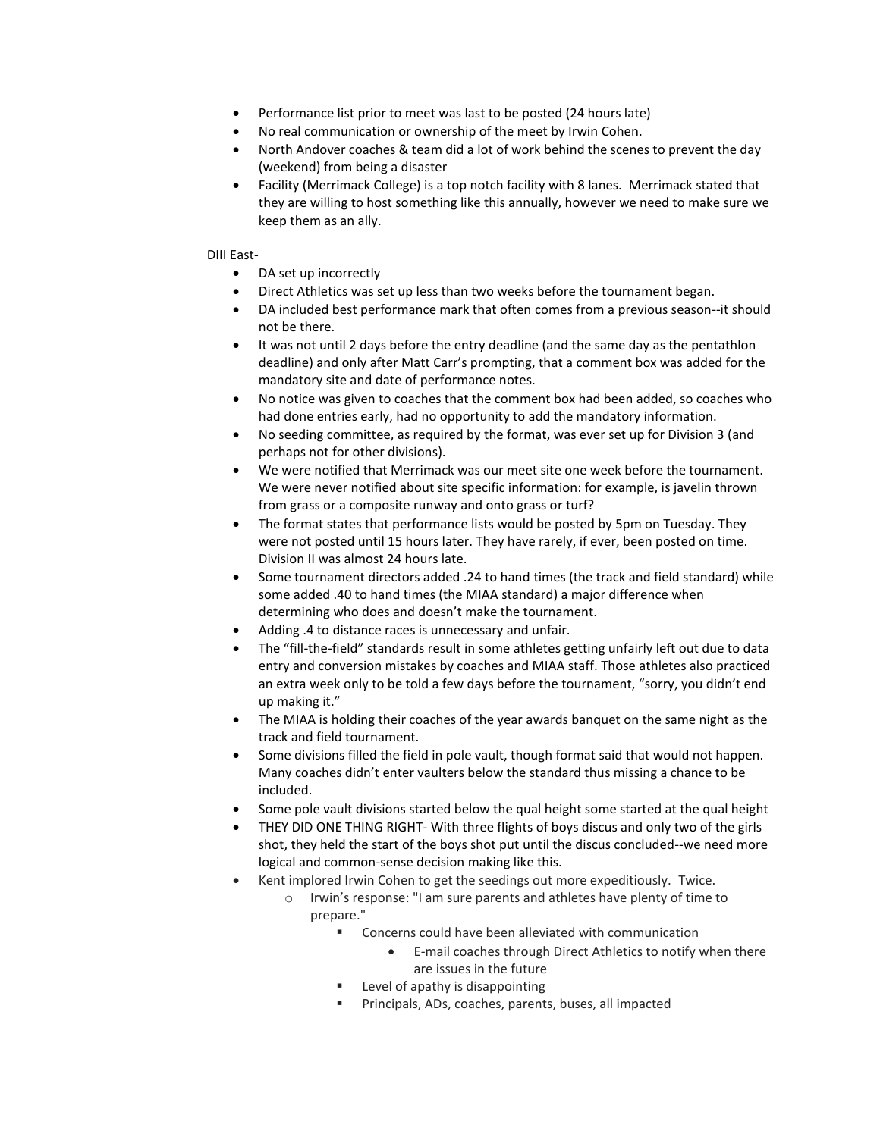- Performance list prior to meet was last to be posted (24 hours late)
- No real communication or ownership of the meet by Irwin Cohen.
- North Andover coaches & team did a lot of work behind the scenes to prevent the day (weekend) from being a disaster
- Facility (Merrimack College) is a top notch facility with 8 lanes. Merrimack stated that they are willing to host something like this annually, however we need to make sure we keep them as an ally.

## DIII East-

- DA set up incorrectly
- Direct Athletics was set up less than two weeks before the tournament began.
- DA included best performance mark that often comes from a previous season--it should not be there.
- It was not until 2 days before the entry deadline (and the same day as the pentathlon deadline) and only after Matt Carr's prompting, that a comment box was added for the mandatory site and date of performance notes.
- No notice was given to coaches that the comment box had been added, so coaches who had done entries early, had no opportunity to add the mandatory information.
- No seeding committee, as required by the format, was ever set up for Division 3 (and perhaps not for other divisions).
- We were notified that Merrimack was our meet site one week before the tournament. We were never notified about site specific information: for example, is javelin thrown from grass or a composite runway and onto grass or turf?
- The format states that performance lists would be posted by 5pm on Tuesday. They were not posted until 15 hours later. They have rarely, if ever, been posted on time. Division II was almost 24 hours late.
- Some tournament directors added .24 to hand times (the track and field standard) while some added .40 to hand times (the MIAA standard) a major difference when determining who does and doesn't make the tournament.
- Adding .4 to distance races is unnecessary and unfair.
- The "fill-the-field" standards result in some athletes getting unfairly left out due to data entry and conversion mistakes by coaches and MIAA staff. Those athletes also practiced an extra week only to be told a few days before the tournament, "sorry, you didn't end up making it."
- The MIAA is holding their coaches of the year awards banquet on the same night as the track and field tournament.
- Some divisions filled the field in pole vault, though format said that would not happen. Many coaches didn't enter vaulters below the standard thus missing a chance to be included.
- Some pole vault divisions started below the qual height some started at the qual height
- THEY DID ONE THING RIGHT- With three flights of boys discus and only two of the girls shot, they held the start of the boys shot put until the discus concluded--we need more logical and common-sense decision making like this.
- Kent implored Irwin Cohen to get the seedings out more expeditiously. Twice.
	- o Irwin's response: "I am sure parents and athletes have plenty of time to prepare."
		- Concerns could have been alleviated with communication
			- E-mail coaches through Direct Athletics to notify when there are issues in the future
			- Level of apathy is disappointing
		- Principals, ADs, coaches, parents, buses, all impacted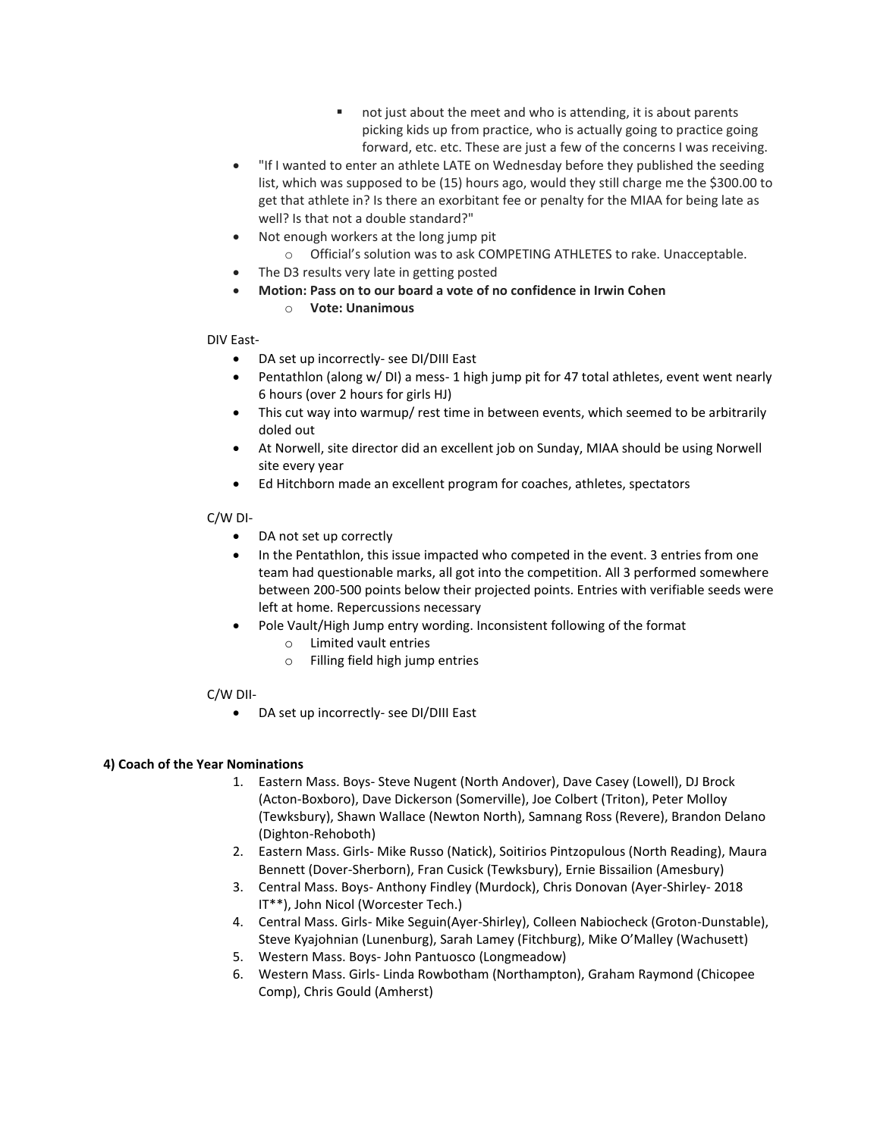- not just about the meet and who is attending, it is about parents picking kids up from practice, who is actually going to practice going forward, etc. etc. These are just a few of the concerns I was receiving.
- "If I wanted to enter an athlete LATE on Wednesday before they published the seeding list, which was supposed to be (15) hours ago, would they still charge me the \$300.00 to get that athlete in? Is there an exorbitant fee or penalty for the MIAA for being late as well? Is that not a double standard?"
- Not enough workers at the long jump pit
	- o Official's solution was to ask COMPETING ATHLETES to rake. Unacceptable.
- The D3 results very late in getting posted
- **Motion: Pass on to our board a vote of no confidence in Irwin Cohen**

## o **Vote: Unanimous**

DIV East-

- DA set up incorrectly- see DI/DIII East
- Pentathlon (along w/ DI) a mess- 1 high jump pit for 47 total athletes, event went nearly 6 hours (over 2 hours for girls HJ)
- This cut way into warmup/ rest time in between events, which seemed to be arbitrarily doled out
- At Norwell, site director did an excellent job on Sunday, MIAA should be using Norwell site every year
- Ed Hitchborn made an excellent program for coaches, athletes, spectators

## C/W DI-

- DA not set up correctly
- In the Pentathlon, this issue impacted who competed in the event. 3 entries from one team had questionable marks, all got into the competition. All 3 performed somewhere between 200-500 points below their projected points. Entries with verifiable seeds were left at home. Repercussions necessary
- Pole Vault/High Jump entry wording. Inconsistent following of the format
	- o Limited vault entries
	- o Filling field high jump entries

## C/W DII-

DA set up incorrectly- see DI/DIII East

# **4) Coach of the Year Nominations**

- 1. Eastern Mass. Boys- Steve Nugent (North Andover), Dave Casey (Lowell), DJ Brock (Acton-Boxboro), Dave Dickerson (Somerville), Joe Colbert (Triton), Peter Molloy (Tewksbury), Shawn Wallace (Newton North), Samnang Ross (Revere), Brandon Delano (Dighton-Rehoboth)
- 2. Eastern Mass. Girls- Mike Russo (Natick), Soitirios Pintzopulous (North Reading), Maura Bennett (Dover-Sherborn), Fran Cusick (Tewksbury), Ernie Bissailion (Amesbury)
- 3. Central Mass. Boys- Anthony Findley (Murdock), Chris Donovan (Ayer-Shirley- 2018 IT\*\*), John Nicol (Worcester Tech.)
- 4. Central Mass. Girls- Mike Seguin(Ayer-Shirley), Colleen Nabiocheck (Groton-Dunstable), Steve Kyajohnian (Lunenburg), Sarah Lamey (Fitchburg), Mike O'Malley (Wachusett)
- 5. Western Mass. Boys- John Pantuosco (Longmeadow)
- 6. Western Mass. Girls- Linda Rowbotham (Northampton), Graham Raymond (Chicopee Comp), Chris Gould (Amherst)